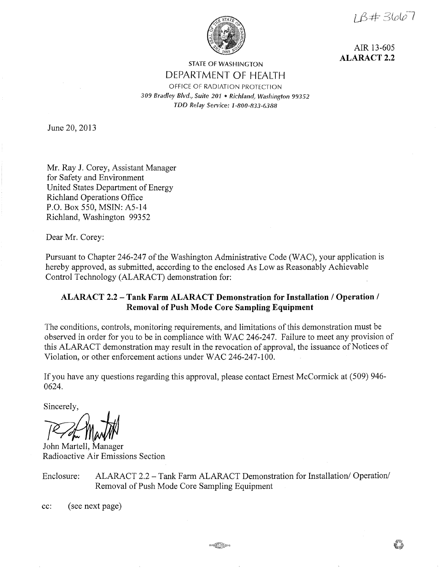$1\beta + 3667$ 



AIR 13-605 **ALARACT2.2** 

## STATE OF WASHINGTON DEPARTMENT OF HEALTH OFFICE OF RADIATION PROTECTION *309 Bradley Blvd., Suite 201* • *Richland, Washington 99352 TDD Relay Service: 1-800-833-6388*

June 20, 2013

Mr. Ray J. Corey, Assistant Manager for Safety and Environment United States Department of Energy Richland Operations Office P.O. Box 550, MSIN: A5-14 Richland, Washington 99352

Dear Mr. Corey:

Pursuant to Chapter 246-247 of the Washington Administrative Code (WAC), your application is hereby approved, as submitted, according to the enclosed As Low as Reasonably Achievable Control Technology (ALARACT) demonstration for:

### **ALARACT 2.2 -Tank Farm ALARACT Demonstration for Installation/ Operation/ Removal of Push Mode Core Sampling Equipment**

The conditions, controls, monitoring requirements, and limitations of this demonstration must be observed in order for you to be in compliance with WAC 246-247. Failure to meet any provision of this ALARACT demonstration may result in the revocation of approval, the issuance of Notices of Violation, or other enforcement actions under WAC 246-247-100.

If you have any questions regarding this approval, please contact Ernest McCormick at (509) 946- 0624.

*PAJ¢*  John Martell, Manager

Radioactive Air Emissions Section

Enclosure: ALARACT 2.2-Tank Farm ALARACT Demonstration for Installation/ Operation/ Removal of Push Mode Core Sampling Equipment

cc: (see next page)

on September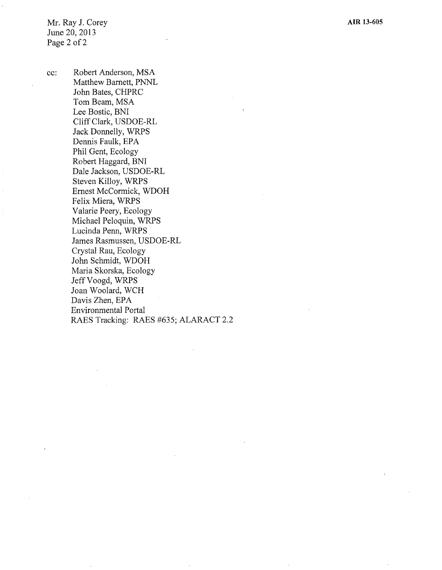Mr. Ray J. Corey June 20, 2013 Page 2 of 2

cc: Robert Anderson, MSA Matthew Barnett, PNNL John Bates, CHPRC Tom Beam, MSA Lee Bostic, BNI Cliff Clark, USDOE-RL Jack Donnelly, WRPS Dennis Faulk, EPA Phil Gent, Ecology Robert Haggard, BNI Dale Jackson, USDOE-RL Steven Killoy, WRPS Ernest McCormick, WDOH Felix Miera, WRPS Valarie Peery, Ecology Michael Peloquin, WRPS Lucinda Penn, WRPS James Rasmussen, USDOE-RL Crystal Rau, Ecology John Schmidt, WDOH Maria Skorska, Ecology Jeff Voogd, WRPS Joan Woolard, WCH Davis Zhen, EPA Environmental Portal RAES Tracking: RAES #635; ALARACT 2.2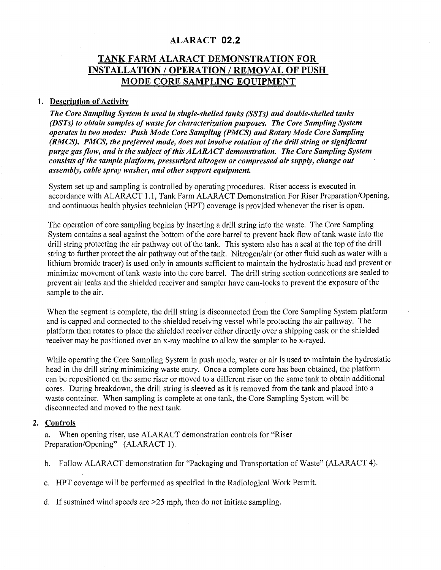## ALARACT **02.2**

# **TANK FARM ALARACT DEMONSTRATION FOR INSTALLATION/ OPERATION/ REMOVAL OF PUSH MODE CORE SAMPLING EQUIPMENT**

#### **1. Description of Activity**

*The Core Sampling System is used in single-shelled tanks (SSTs) and double-shelled tanks (DSTs) to obtain samples of waste for characterization purposes. The Core Sampling System operates in two modes: Push Mode Core Sampling (PMCS) and Rotary Mode Core Sampling (RMCS). PMCS, the preferred mode, does not involve rotation of the drill string or significant purge gas flow, and is the subject of this ALARACT demonstration. The Core Sampling System consists of the sample platform, pressurized nitrogen or compressed air supply, change out assembly, cable spray washer, and other support equipment.* 

System set up and sampling is controlled by operating procedures. Riser access is executed in accordance with ALARACT 1.1, Tank Farm ALARACT Demonstration For Riser Preparation/Opening, and continuous health physics technician (HPT) coverage is provided whenever the riser is open.

The operation of core sampling begins by inserting a drill string into the waste. The Core Sampling System contains a seal against the bottom of the core barrel to prevent back flow of tank waste into the drill string protecting the air pathway out of the tank. This system also has a seal at the top of the drill string to further protect the air pathway out of the tank. Nitrogen/air ( or other fluid such as water with a lithium bromide tracer) is used only in amounts sufficient to maintain the hydrostatic head and prevent or minimize movement of tank waste into the core barrel. The drill string section connections are sealed to prevent air leaks and the shielded receiver and sampler have cam-locks to prevent the exposure of the sample to the air.

When the segment is complete, the drill string is disconnected from the Core Sampling System platform and is capped and connected to the shielded receiving vessel while protecting the air pathway. The platform then rotates to place the shielded receiver either directly over a shipping cask or the shielded receiver may be positioned over an x-ray machine to allow the sampler to be x-rayed.

While operating the Core Sampling System in push mode, water or air is used to maintain the hydrostatic head in the drill string minimizing waste entry. Once a complete core has been obtained, the platform can be repositioned on the same riser or moved to a different riser on the same tank to obtain additional cores. During breakdown, the drill string is sleeved as it is removed from the tank and placed into a waste container. When sampling is complete at one tank, the Core Sampling System will be disconnected and moved to the next tank.

#### **2. Controls**

a. When opening riser, use ALARACT demonstration controls for "Riser Preparation/Opening" (ALARACT I).

- b. Follow ALARACT demonstration for "Packaging and Transportation of Waste" (ALARACT 4).
- c. HPT coverage will be performed as specified in the Radiological Work Permit.
- d. If sustained wind speeds are >25 mph, then do not initiate sampling.